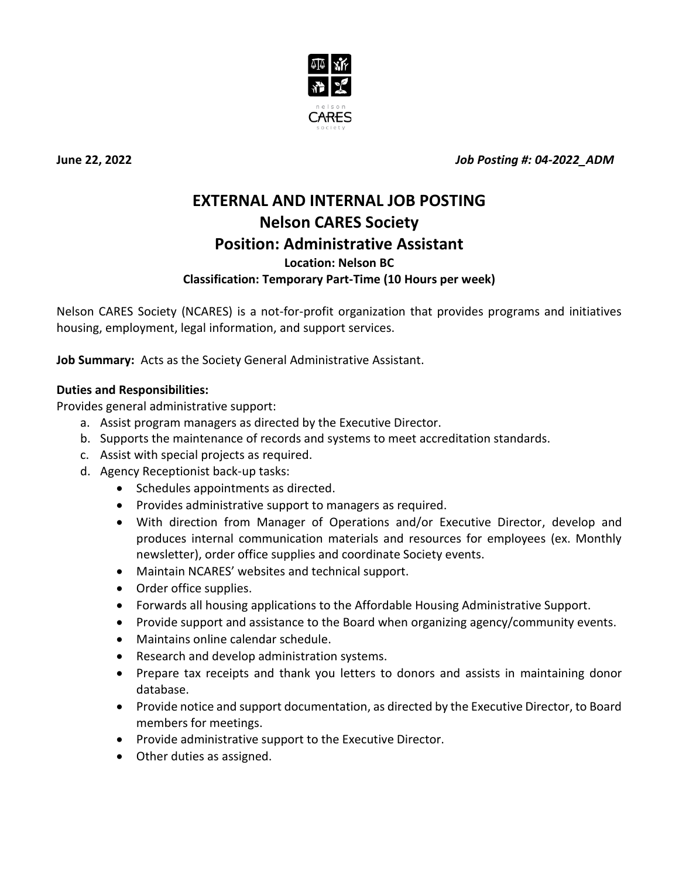

**June 22, 2022** *Job Posting #: 04-2022\_ADM*

# **EXTERNAL AND INTERNAL JOB POSTING Nelson CARES Society Position: Administrative Assistant Location: Nelson BC Classification: Temporary Part-Time (10 Hours per week)**

Nelson CARES Society (NCARES) is a not-for-profit organization that provides programs and initiatives housing, employment, legal information, and support services.

**Job Summary:** Acts as the Society General Administrative Assistant.

## **Duties and Responsibilities:**

Provides general administrative support:

- a. Assist program managers as directed by the Executive Director.
- b. Supports the maintenance of records and systems to meet accreditation standards.
- c. Assist with special projects as required.
- d. Agency Receptionist back-up tasks:
	- Schedules appointments as directed.
	- Provides administrative support to managers as required.
	- With direction from Manager of Operations and/or Executive Director, develop and produces internal communication materials and resources for employees (ex. Monthly newsletter), order office supplies and coordinate Society events.
	- Maintain NCARES' websites and technical support.
	- Order office supplies.
	- Forwards all housing applications to the Affordable Housing Administrative Support.
	- Provide support and assistance to the Board when organizing agency/community events.
	- Maintains online calendar schedule.
	- Research and develop administration systems.
	- Prepare tax receipts and thank you letters to donors and assists in maintaining donor database.
	- Provide notice and support documentation, as directed by the Executive Director, to Board members for meetings.
	- Provide administrative support to the Executive Director.
	- Other duties as assigned.